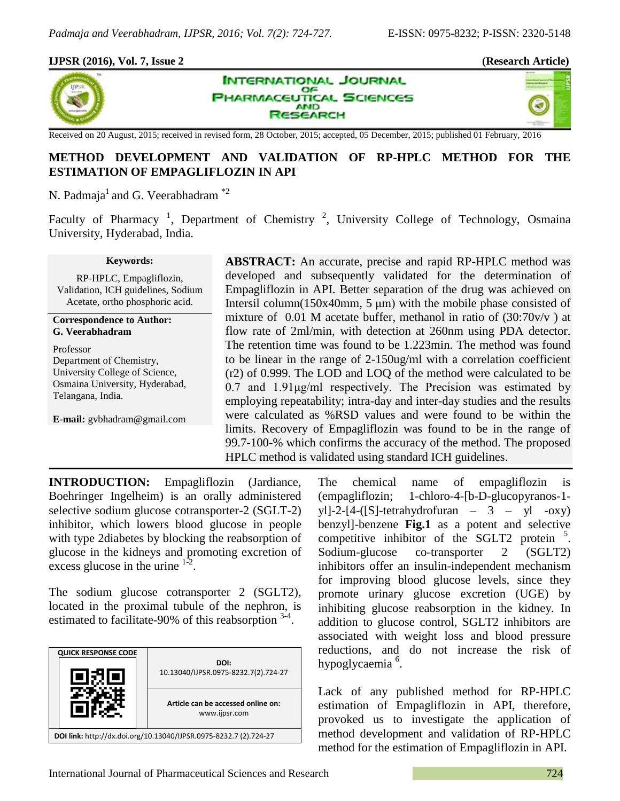×,

### **IJPSR (2016), Vol. 7, Issue 2 (Research Article)**







# **METHOD DEVELOPMENT AND VALIDATION OF RP-HPLC METHOD FOR THE ESTIMATION OF EMPAGLIFLOZIN IN API**

N. Padmaja<sup>1</sup> and G. Veerabhadram  $*2$ 

Faculty of Pharmacy<sup>1</sup>, Department of Chemistry<sup>2</sup>, University College of Technology, Osmaina University, Hyderabad, India.

#### **Keywords:**

RP-HPLC, Empagliflozin, Validation, ICH guidelines, Sodium Acetate, ortho phosphoric acid*.*

#### **Correspondence to Author: G. Veerabhadram**

Professor Department of Chemistry, University College of Science, Osmaina University, Hyderabad, Telangana, India.

**E-mail:** gvbhadram@gmail.com

**ABSTRACT:** An accurate, precise and rapid RP-HPLC method was developed and subsequently validated for the determination of Empagliflozin in API. Better separation of the drug was achieved on Intersil column(150x40mm, 5 μm) with the mobile phase consisted of mixture of 0.01 M acetate buffer, methanol in ratio of  $(30:70v/v)$  at flow rate of 2ml/min, with detection at 260nm using PDA detector. The retention time was found to be 1.223min. The method was found to be linear in the range of 2-150ug/ml with a correlation coefficient (r2) of 0.999. The LOD and LOQ of the method were calculated to be 0.7 and 1.91μg/ml respectively. The Precision was estimated by employing repeatability; intra-day and inter-day studies and the results were calculated as %RSD values and were found to be within the limits. Recovery of Empagliflozin was found to be in the range of 99.7-100-% which confirms the accuracy of the method. The proposed HPLC method is validated using standard ICH guidelines.

**INTRODUCTION:** Empagliflozin (Jardiance, Boehringer Ingelheim) is an orally administered selective sodium glucose cotransporter-2 (SGLT-2) inhibitor, which lowers blood glucose in people with type 2diabetes by blocking the reabsorption of glucose in the kidneys and promoting excretion of excess glucose in the urine  $1^2$ .

The sodium glucose cotransporter 2 (SGLT2), located in the proximal tubule of the nephron, is estimated to facilitate-90% of this reabsorption  $3-4$ .



The chemical name of empagliflozin is (empagliflozin; 1-chloro-4-[b-D-glucopyranos-1 yl]-2-[4-([S]-tetrahydrofuran –  $3 - yl$  -oxy) benzyl]-benzene **Fig.1** as a potent and selective competitive inhibitor of the SGLT2 protein  $5$ . Sodium-glucose co-transporter 2 (SGLT2) inhibitors offer an insulin-independent mechanism for improving blood glucose levels, since they promote urinary glucose excretion (UGE) by inhibiting glucose reabsorption in the kidney. In addition to glucose control, SGLT2 inhibitors are associated with weight loss and blood pressure reductions, and do not increase the risk of hypoglycaemia<sup>6</sup>.

Lack of any published method for RP-HPLC estimation of Empagliflozin in API, therefore, provoked us to investigate the application of method development and validation of RP-HPLC method for the estimation of Empagliflozin in API.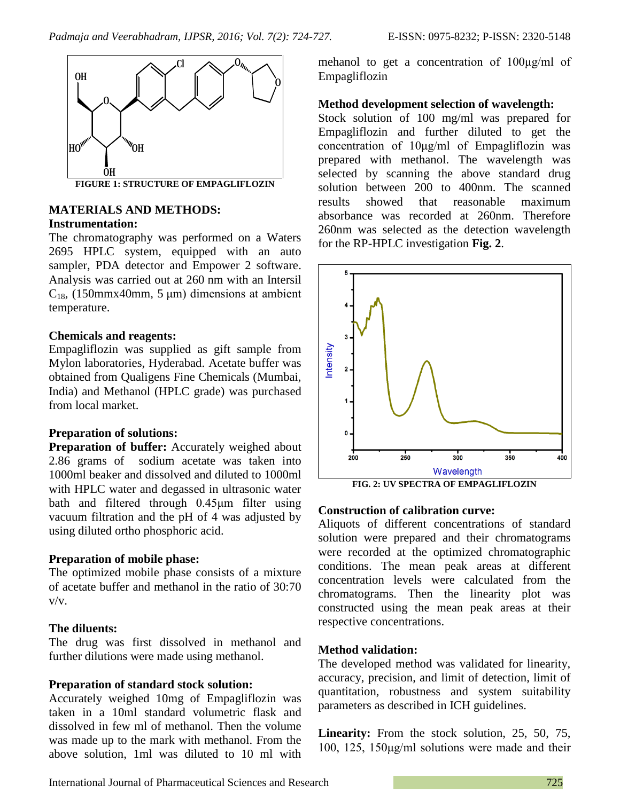

## **MATERIALS AND METHODS: Instrumentation:**

The chromatography was performed on a Waters 2695 HPLC system, equipped with an auto sampler, PDA detector and Empower 2 software. Analysis was carried out at 260 nm with an Intersil  $C_{18}$ , (150mmx40mm, 5 µm) dimensions at ambient temperature.

### **Chemicals and reagents:**

Empagliflozin was supplied as gift sample from Mylon laboratories, Hyderabad. Acetate buffer was obtained from Qualigens Fine Chemicals (Mumbai, India) and Methanol (HPLC grade) was purchased from local market.

## **Preparation of solutions:**

**Preparation of buffer:** Accurately weighed about 2.86 grams of sodium acetate was taken into 1000ml beaker and dissolved and diluted to 1000ml with HPLC water and degassed in ultrasonic water bath and filtered through 0.45μm filter using vacuum filtration and the pH of 4 was adjusted by using diluted ortho phosphoric acid.

## **Preparation of mobile phase:**

The optimized mobile phase consists of a mixture of acetate buffer and methanol in the ratio of 30:70 v/v.

## **The diluents:**

The drug was first dissolved in methanol and further dilutions were made using methanol.

## **Preparation of standard stock solution:**

Accurately weighed 10mg of Empagliflozin was taken in a 10ml standard volumetric flask and dissolved in few ml of methanol. Then the volume was made up to the mark with methanol. From the above solution, 1ml was diluted to 10 ml with mehanol to get a concentration of 100μg/ml of Empagliflozin

### **Method development selection of wavelength:**

Stock solution of 100 mg/ml was prepared for Empagliflozin and further diluted to get the concentration of 10μg/ml of Empagliflozin was prepared with methanol. The wavelength was selected by scanning the above standard drug solution between 200 to 400nm. The scanned results showed that reasonable maximum absorbance was recorded at 260nm. Therefore 260nm was selected as the detection wavelength for the RP-HPLC investigation **Fig. 2**.



**FIG. 2: UV SPECTRA OF EMPAGLIFLOZIN**

## **Construction of calibration curve:**

Aliquots of different concentrations of standard solution were prepared and their chromatograms were recorded at the optimized chromatographic conditions. The mean peak areas at different concentration levels were calculated from the chromatograms. Then the linearity plot was constructed using the mean peak areas at their respective concentrations.

## **Method validation:**

The developed method was validated for linearity, accuracy, precision, and limit of detection, limit of quantitation, robustness and system suitability parameters as described in ICH guidelines.

**Linearity:** From the stock solution, 25, 50, 75, 100, 125, 150μg/ml solutions were made and their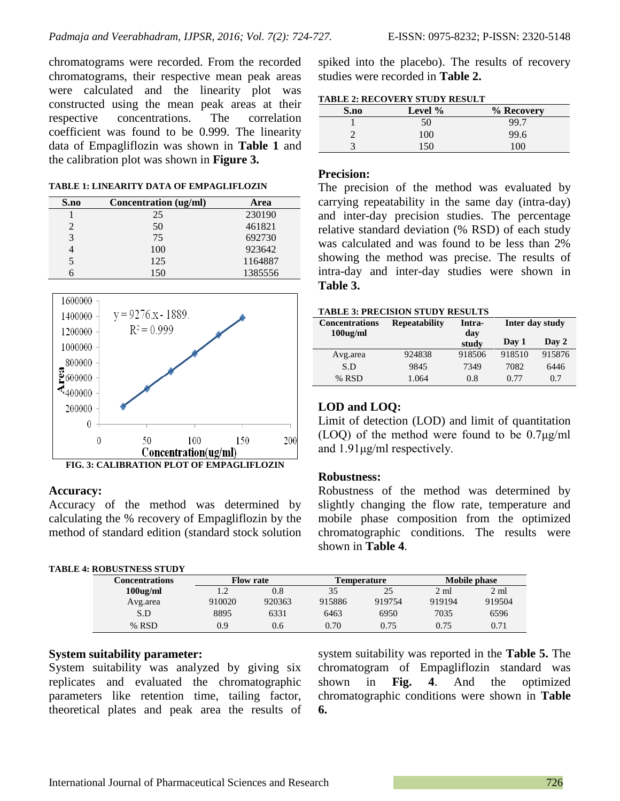chromatograms were recorded. From the recorded chromatograms, their respective mean peak areas were calculated and the linearity plot was constructed using the mean peak areas at their respective concentrations. The correlation coefficient was found to be 0.999. The linearity data of Empagliflozin was shown in **Table 1** and the calibration plot was shown in **Figure 3.**

#### **TABLE 1: LINEARITY DATA OF EMPAGLIFLOZIN**

| S.no | Concentration (ug/ml) | Area    |
|------|-----------------------|---------|
|      | 25                    | 230190  |
|      | 50                    | 461821  |
| 3    | 75                    | 692730  |
|      | 100                   | 923642  |
| 5    | 125                   | 1164887 |
|      | 150                   | 1385556 |



#### **Accuracy:**

Accuracy of the method was determined by calculating the % recovery of Empagliflozin by the method of standard edition (standard stock solution

| <b>TABLE 4: ROBUSTNESS STUDY</b> |                |                  |        |                    |        |                     |        |
|----------------------------------|----------------|------------------|--------|--------------------|--------|---------------------|--------|
|                                  | Concentrations | <b>Flow rate</b> |        | <b>Temperature</b> |        | <b>Mobile phase</b> |        |
|                                  | $100$ ug/ml    |                  | 0.8    | 35                 | 25     | 2 ml                | 2 ml   |
|                                  | Avg.area       | 910020           | 920363 | 915886             | 919754 | 919194              | 919504 |
|                                  | S.D            | 8895             | 6331   | 6463               | 6950   | 7035                | 6596   |
|                                  | % RSD          | 0.9              | 0.6    | 0.70               | 0.75   | 0.75                | 0.71   |

### **System suitability parameter:**

System suitability was analyzed by giving six replicates and evaluated the chromatographic parameters like retention time, tailing factor, theoretical plates and peak area the results of system suitability was reported in the **Table 5.** The chromatogram of Empagliflozin standard was shown in **Fig. 4**. And the optimized chromatographic conditions were shown in **Table 6.**

spiked into the placebo). The results of recovery studies were recorded in **Table 2.**

### **TABLE 2: RECOVERY STUDY RESULT**

| S.no | Level $%$ | % Recovery |
|------|-----------|------------|
|      | 50        | 99.7       |
|      | 100       | 99.6       |
|      | 150       | 100        |

#### **Precision:**

The precision of the method was evaluated by carrying repeatability in the same day (intra-day) and inter-day precision studies. The percentage relative standard deviation (% RSD) of each study was calculated and was found to be less than 2% showing the method was precise. The results of intra-day and inter-day studies were shown in **Table 3.**

#### **TABLE 3: PRECISION STUDY RESULTS**

| <b>Concentrations</b> | <b>Repeatability</b> | Intra-       | Inter day study |        |  |
|-----------------------|----------------------|--------------|-----------------|--------|--|
| $100$ ug/ml           |                      | day<br>study | Day 1           | Day 2  |  |
| Avg.area              | 924838               | 918506       | 918510          | 915876 |  |
| S.D                   | 9845                 | 7349         | 7082            | 6446   |  |
| % RSD                 | 1.064                | 0.8          | 0.77            | 0.7    |  |

### **LOD and LOQ:**

Limit of detection (LOD) and limit of quantitation (LOQ) of the method were found to be 0.7μg/ml and 1.91μg/ml respectively.

#### **Robustness:**

Robustness of the method was determined by slightly changing the flow rate, temperature and mobile phase composition from the optimized chromatographic conditions. The results were shown in **Table 4**.